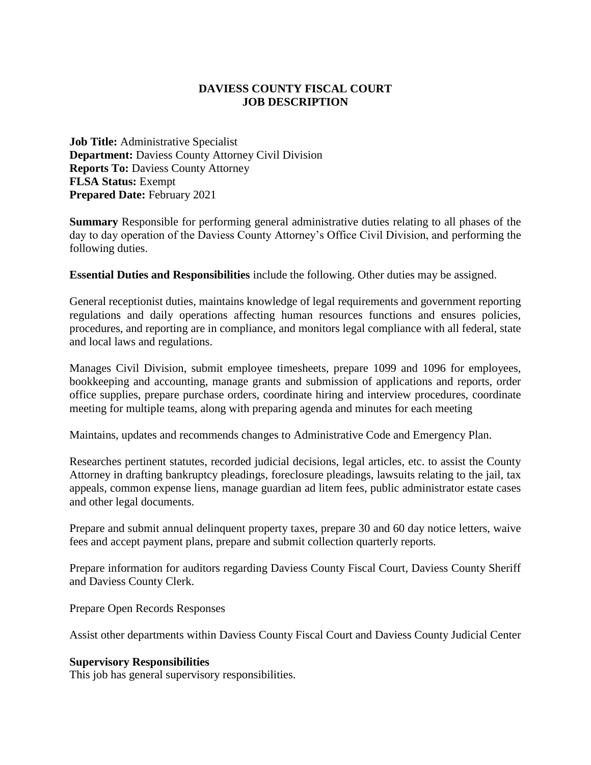## **DAVIESS COUNTY FISCAL COURT JOB DESCRIPTION**

**Job Title:** Administrative Specialist **Department:** Daviess County Attorney Civil Division **Reports To: Daviess County Attorney FLSA Status:** Exempt **Prepared Date:** February 2021

**Summary** Responsible for performing general administrative duties relating to all phases of the day to day operation of the Daviess County Attorney's Office Civil Division, and performing the following duties.

**Essential Duties and Responsibilities** include the following. Other duties may be assigned.

General receptionist duties, maintains knowledge of legal requirements and government reporting regulations and daily operations affecting human resources functions and ensures policies, procedures, and reporting are in compliance, and monitors legal compliance with all federal, state and local laws and regulations.

Manages Civil Division, submit employee timesheets, prepare 1099 and 1096 for employees, bookkeeping and accounting, manage grants and submission of applications and reports, order office supplies, prepare purchase orders, coordinate hiring and interview procedures, coordinate meeting for multiple teams, along with preparing agenda and minutes for each meeting

Maintains, updates and recommends changes to Administrative Code and Emergency Plan.

Researches pertinent statutes, recorded judicial decisions, legal articles, etc. to assist the County Attorney in drafting bankruptcy pleadings, foreclosure pleadings, lawsuits relating to the jail, tax appeals, common expense liens, manage guardian ad litem fees, public administrator estate cases and other legal documents.

Prepare and submit annual delinquent property taxes, prepare 30 and 60 day notice letters, waive fees and accept payment plans, prepare and submit collection quarterly reports.

Prepare information for auditors regarding Daviess County Fiscal Court, Daviess County Sheriff and Daviess County Clerk.

Prepare Open Records Responses

Assist other departments within Daviess County Fiscal Court and Daviess County Judicial Center

# **Supervisory Responsibilities**

This job has general supervisory responsibilities.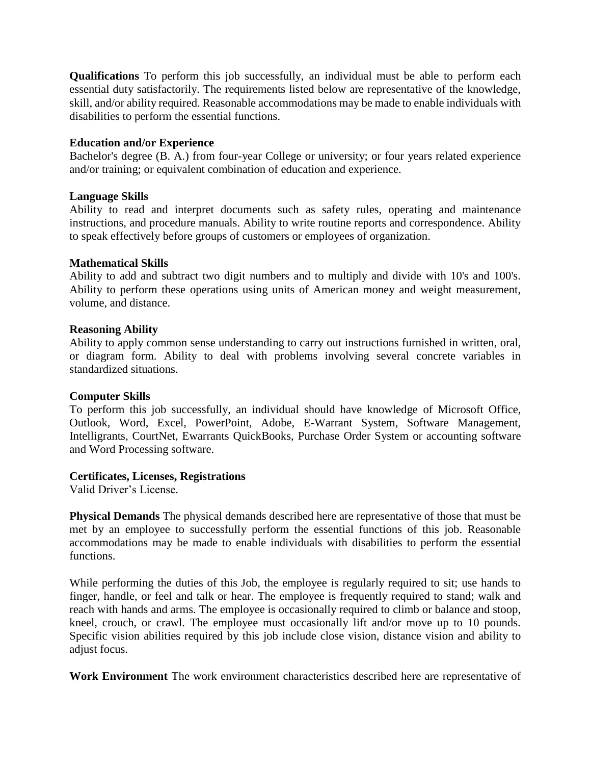**Qualifications** To perform this job successfully, an individual must be able to perform each essential duty satisfactorily. The requirements listed below are representative of the knowledge, skill, and/or ability required. Reasonable accommodations may be made to enable individuals with disabilities to perform the essential functions.

## **Education and/or Experience**

Bachelor's degree (B. A.) from four-year College or university; or four years related experience and/or training; or equivalent combination of education and experience.

## **Language Skills**

Ability to read and interpret documents such as safety rules, operating and maintenance instructions, and procedure manuals. Ability to write routine reports and correspondence. Ability to speak effectively before groups of customers or employees of organization.

#### **Mathematical Skills**

Ability to add and subtract two digit numbers and to multiply and divide with 10's and 100's. Ability to perform these operations using units of American money and weight measurement, volume, and distance.

#### **Reasoning Ability**

Ability to apply common sense understanding to carry out instructions furnished in written, oral, or diagram form. Ability to deal with problems involving several concrete variables in standardized situations.

## **Computer Skills**

To perform this job successfully, an individual should have knowledge of Microsoft Office, Outlook, Word, Excel, PowerPoint, Adobe, E-Warrant System, Software Management, Intelligrants, CourtNet, Ewarrants QuickBooks, Purchase Order System or accounting software and Word Processing software.

## **Certificates, Licenses, Registrations**

Valid Driver's License.

**Physical Demands** The physical demands described here are representative of those that must be met by an employee to successfully perform the essential functions of this job. Reasonable accommodations may be made to enable individuals with disabilities to perform the essential functions.

While performing the duties of this Job, the employee is regularly required to sit; use hands to finger, handle, or feel and talk or hear. The employee is frequently required to stand; walk and reach with hands and arms. The employee is occasionally required to climb or balance and stoop, kneel, crouch, or crawl. The employee must occasionally lift and/or move up to 10 pounds. Specific vision abilities required by this job include close vision, distance vision and ability to adjust focus.

**Work Environment** The work environment characteristics described here are representative of